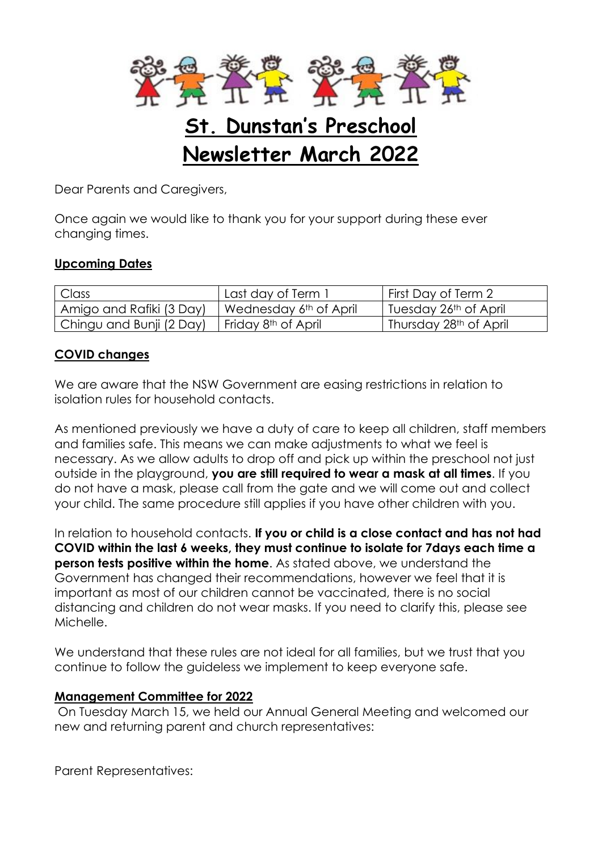

# **St. Dunstan's Preschool Newsletter March 2022**

Dear Parents and Caregivers,

Once again we would like to thank you for your support during these ever changing times.

## **Upcoming Dates**

| Class                    | Last day of Term.               | First Day of Term 2                |
|--------------------------|---------------------------------|------------------------------------|
| Amigo and Rafiki (3 Day) | Wednesday 6th of April          | Tuesday 26th of April              |
| Chingu and Bunji (2 Day) | Friday 8 <sup>th</sup> of April | Thursday 28 <sup>th</sup> of April |

#### **COVID changes**

We are aware that the NSW Government are easing restrictions in relation to isolation rules for household contacts.

As mentioned previously we have a duty of care to keep all children, staff members and families safe. This means we can make adjustments to what we feel is necessary. As we allow adults to drop off and pick up within the preschool not just outside in the playground, **you are still required to wear a mask at all times**. If you do not have a mask, please call from the gate and we will come out and collect your child. The same procedure still applies if you have other children with you.

In relation to household contacts. **If you or child is a close contact and has not had COVID within the last 6 weeks, they must continue to isolate for 7days each time a person tests positive within the home**. As stated above, we understand the Government has changed their recommendations, however we feel that it is important as most of our children cannot be vaccinated, there is no social distancing and children do not wear masks. If you need to clarify this, please see Michelle.

We understand that these rules are not ideal for all families, but we trust that you continue to follow the guideless we implement to keep everyone safe.

#### **Management Committee for 2022**

On Tuesday March 15, we held our Annual General Meeting and welcomed our new and returning parent and church representatives:

Parent Representatives: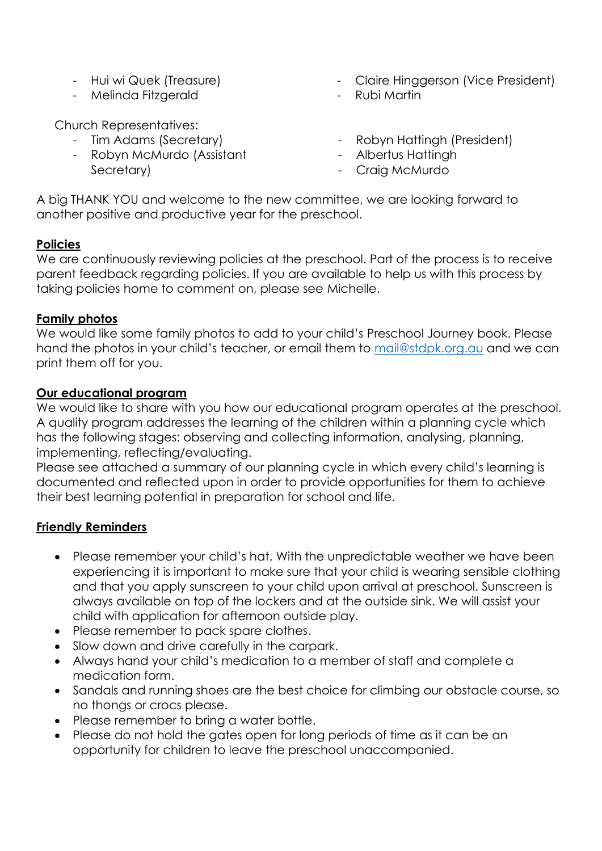- Hui wi Quek (Treasure)
- Melinda Fitzgerald

Church Representatives:

- Tim Adams (Secretary)
- Robyn McMurdo (Assistant
	- Secretary)
- Claire Hinggerson (Vice President)
- Rubi Martin
- Robyn Hattingh (President)
- Albertus Hattingh
- Craig McMurdo

A big THANK YOU and welcome to the new committee, we are looking forward to another positive and productive year for the preschool.

## **Policies**

We are continuously reviewing policies at the preschool. Part of the process is to receive parent feedback regarding policies. If you are available to help us with this process by taking policies home to comment on, please see Michelle.

#### **Family photos**

We would like some family photos to add to your child's Preschool Journey book. Please hand the photos in your child's teacher, or email them to [mail@stdpk.org.au](mailto:mail@stdpk.org.au) and we can print them off for you.

## **Our educational program**

We would like to share with you how our educational program operates at the preschool. A quality program addresses the learning of the children within a planning cycle which has the following stages: observing and collecting information, analysing, planning, implementing, reflecting/evaluating.

Please see attached a summary of our planning cycle in which every child's learning is documented and reflected upon in order to provide opportunities for them to achieve their best learning potential in preparation for school and life.

## **Friendly Reminders**

- Please remember your child's hat. With the unpredictable weather we have been experiencing it is important to make sure that your child is wearing sensible clothing and that you apply sunscreen to your child upon arrival at preschool. Sunscreen is always available on top of the lockers and at the outside sink. We will assist your child with application for afternoon outside play.
- Please remember to pack spare clothes.
- Slow down and drive carefully in the carpark.
- Always hand your child's medication to a member of staff and complete a medication form.
- Sandals and running shoes are the best choice for climbing our obstacle course, so no thongs or crocs please.
- Please remember to bring a water bottle.
- Please do not hold the gates open for long periods of time as it can be an opportunity for children to leave the preschool unaccompanied.